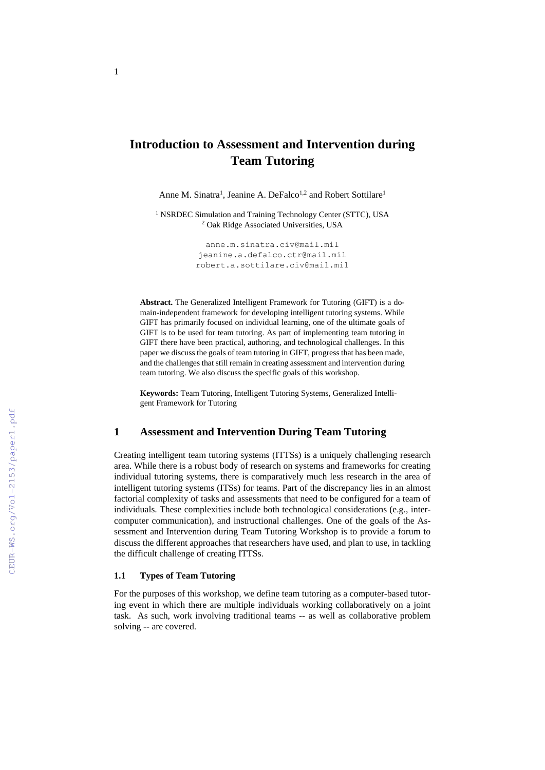# **Introduction to Assessment and Intervention during Team Tutoring**

Anne M. Sinatra<sup>1</sup>, Jeanine A. DeFalco<sup>1,2</sup> and Robert Sottilare<sup>1</sup>

<sup>1</sup> NSRDEC Simulation and Training Technology Center (STTC), USA <sup>2</sup> Oak Ridge Associated Universities, USA

> [anne.m.sinatra.civ@mail.mil](mailto:anne.m.sinatra.civ@mail.mil) [jeanine.a.defalco.ctr@mail.mil](mailto:jeanine.a.defalco.ctr@mail.mil) robert.a.sottilare.civ@mail.mil

**Abstract.** The Generalized Intelligent Framework for Tutoring (GIFT) is a domain-independent framework for developing intelligent tutoring systems. While GIFT has primarily focused on individual learning, one of the ultimate goals of GIFT is to be used for team tutoring. As part of implementing team tutoring in GIFT there have been practical, authoring, and technological challenges. In this paper we discuss the goals of team tutoring in GIFT, progress that has been made, and the challenges that still remain in creating assessment and intervention during team tutoring. We also discuss the specific goals of this workshop.

**Keywords:** Team Tutoring, Intelligent Tutoring Systems, Generalized Intelligent Framework for Tutoring

## **1 Assessment and Intervention During Team Tutoring**

Creating intelligent team tutoring systems (ITTSs) is a uniquely challenging research area. While there is a robust body of research on systems and frameworks for creating individual tutoring systems, there is comparatively much less research in the area of intelligent tutoring systems (ITSs) for teams. Part of the discrepancy lies in an almost factorial complexity of tasks and assessments that need to be configured for a team of individuals. These complexities include both technological considerations (e.g., intercomputer communication), and instructional challenges. One of the goals of the Assessment and Intervention during Team Tutoring Workshop is to provide a forum to discuss the different approaches that researchers have used, and plan to use, in tackling the difficult challenge of creating ITTSs.

### **1.1 Types of Team Tutoring**

For the purposes of this workshop, we define team tutoring as a computer-based tutoring event in which there are multiple individuals working collaboratively on a joint task. As such, work involving traditional teams -- as well as collaborative problem solving -- are covered.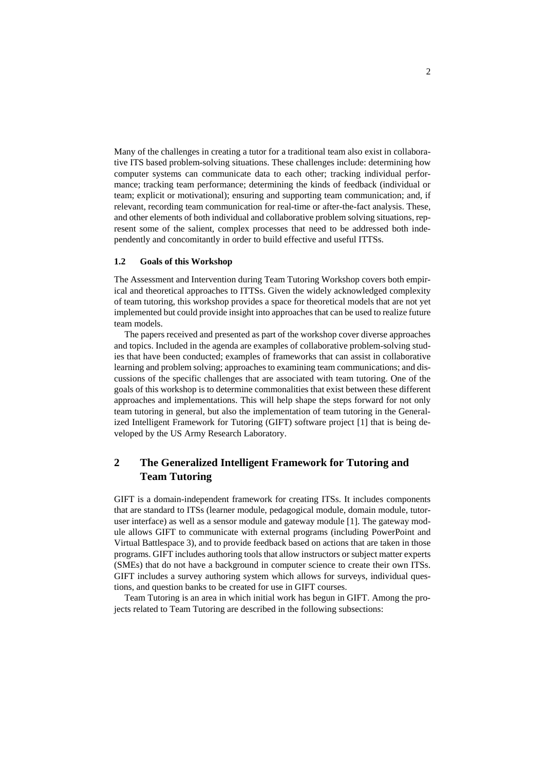Many of the challenges in creating a tutor for a traditional team also exist in collaborative ITS based problem-solving situations. These challenges include: determining how computer systems can communicate data to each other; tracking individual performance; tracking team performance; determining the kinds of feedback (individual or team; explicit or motivational); ensuring and supporting team communication; and, if relevant, recording team communication for real-time or after-the-fact analysis. These, and other elements of both individual and collaborative problem solving situations, represent some of the salient, complex processes that need to be addressed both independently and concomitantly in order to build effective and useful ITTSs.

#### **1.2 Goals of this Workshop**

The Assessment and Intervention during Team Tutoring Workshop covers both empirical and theoretical approaches to ITTSs. Given the widely acknowledged complexity of team tutoring, this workshop provides a space for theoretical models that are not yet implemented but could provide insight into approaches that can be used to realize future team models.

The papers received and presented as part of the workshop cover diverse approaches and topics. Included in the agenda are examples of collaborative problem-solving studies that have been conducted; examples of frameworks that can assist in collaborative learning and problem solving; approaches to examining team communications; and discussions of the specific challenges that are associated with team tutoring. One of the goals of this workshop is to determine commonalities that exist between these different approaches and implementations. This will help shape the steps forward for not only team tutoring in general, but also the implementation of team tutoring in the Generalized Intelligent Framework for Tutoring (GIFT) software project [1] that is being developed by the US Army Research Laboratory.

## **2 The Generalized Intelligent Framework for Tutoring and Team Tutoring**

GIFT is a domain-independent framework for creating ITSs. It includes components that are standard to ITSs (learner module, pedagogical module, domain module, tutoruser interface) as well as a sensor module and gateway module [1]. The gateway module allows GIFT to communicate with external programs (including PowerPoint and Virtual Battlespace 3), and to provide feedback based on actions that are taken in those programs. GIFT includes authoring tools that allow instructors or subject matter experts (SMEs) that do not have a background in computer science to create their own ITSs. GIFT includes a survey authoring system which allows for surveys, individual questions, and question banks to be created for use in GIFT courses.

Team Tutoring is an area in which initial work has begun in GIFT. Among the projects related to Team Tutoring are described in the following subsections: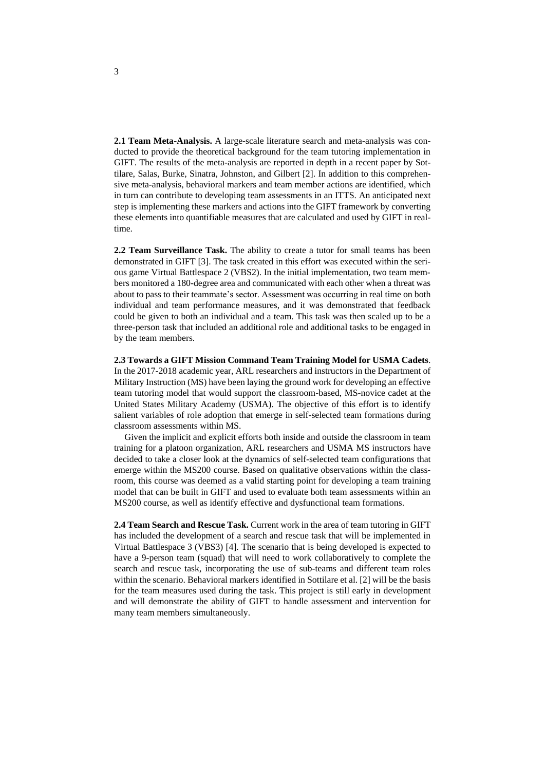**2.1 Team Meta-Analysis.** A large-scale literature search and meta-analysis was conducted to provide the theoretical background for the team tutoring implementation in GIFT. The results of the meta-analysis are reported in depth in a recent paper by Sottilare, Salas, Burke, Sinatra, Johnston, and Gilbert [2]. In addition to this comprehensive meta-analysis, behavioral markers and team member actions are identified, which in turn can contribute to developing team assessments in an ITTS. An anticipated next step is implementing these markers and actions into the GIFT framework by converting these elements into quantifiable measures that are calculated and used by GIFT in realtime.

**2.2 Team Surveillance Task.** The ability to create a tutor for small teams has been demonstrated in GIFT [3]. The task created in this effort was executed within the serious game Virtual Battlespace 2 (VBS2). In the initial implementation, two team members monitored a 180-degree area and communicated with each other when a threat was about to pass to their teammate's sector. Assessment was occurring in real time on both individual and team performance measures, and it was demonstrated that feedback could be given to both an individual and a team. This task was then scaled up to be a three-person task that included an additional role and additional tasks to be engaged in by the team members.

**2.3 Towards a GIFT Mission Command Team Training Model for USMA Cadets**. In the 2017-2018 academic year, ARL researchers and instructors in the Department of Military Instruction (MS) have been laying the ground work for developing an effective team tutoring model that would support the classroom-based, MS-novice cadet at the United States Military Academy (USMA). The objective of this effort is to identify salient variables of role adoption that emerge in self-selected team formations during classroom assessments within MS.

Given the implicit and explicit efforts both inside and outside the classroom in team training for a platoon organization, ARL researchers and USMA MS instructors have decided to take a closer look at the dynamics of self-selected team configurations that emerge within the MS200 course. Based on qualitative observations within the classroom, this course was deemed as a valid starting point for developing a team training model that can be built in GIFT and used to evaluate both team assessments within an MS200 course, as well as identify effective and dysfunctional team formations.

**2.4 Team Search and Rescue Task.** Current work in the area of team tutoring in GIFT has included the development of a search and rescue task that will be implemented in Virtual Battlespace 3 (VBS3) [4]. The scenario that is being developed is expected to have a 9-person team (squad) that will need to work collaboratively to complete the search and rescue task, incorporating the use of sub-teams and different team roles within the scenario. Behavioral markers identified in Sottilare et al. [2] will be the basis for the team measures used during the task. This project is still early in development and will demonstrate the ability of GIFT to handle assessment and intervention for many team members simultaneously.